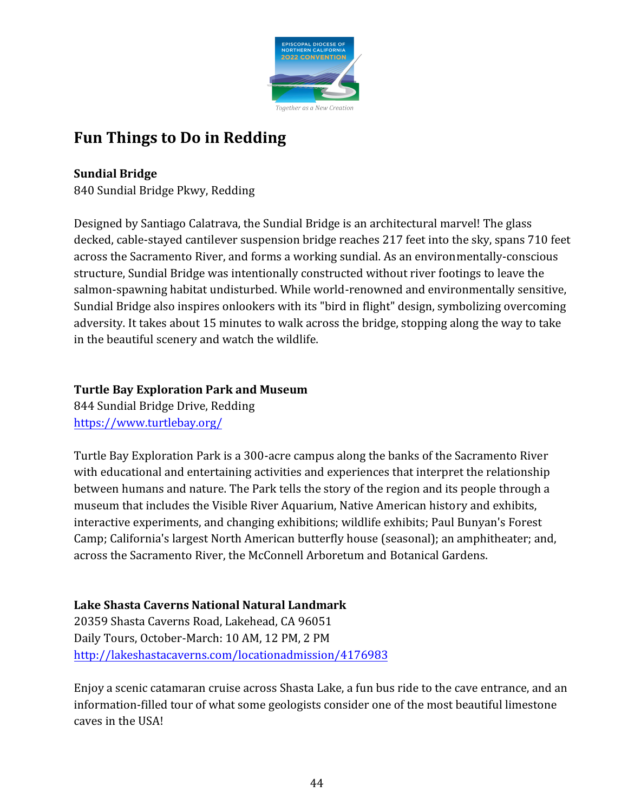

# **Fun Things to Do in Redding**

## **Sundial Bridge**

840 Sundial Bridge Pkwy, Redding

Designed by Santiago Calatrava, the Sundial Bridge is an architectural marvel! The glass decked, cable-stayed cantilever suspension bridge reaches 217 feet into the sky, spans 710 feet across the Sacramento River, and forms a working sundial. As an environmentally-conscious structure, Sundial Bridge was intentionally constructed without river footings to leave the salmon-spawning habitat undisturbed. While world-renowned and environmentally sensitive, Sundial Bridge also inspires onlookers with its "bird in flight" design, symbolizing overcoming adversity. It takes about 15 minutes to walk across the bridge, stopping along the way to take in the beautiful scenery and watch the wildlife.

### **Turtle Bay Exploration Park and Museum**

844 Sundial Bridge Drive, Redding <https://www.turtlebay.org/>

Turtle Bay Exploration Park is a 300-acre campus along the banks of the Sacramento River with educational and entertaining activities and experiences that interpret the relationship between humans and nature. The Park tells the story of the region and its people through a museum that includes the Visible River Aquarium, Native American history and exhibits, interactive experiments, and changing exhibitions; wildlife exhibits; Paul Bunyan's Forest Camp; California's largest North American butterfly house (seasonal); an amphitheater; and, across the Sacramento River, the McConnell Arboretum and Botanical Gardens.

**Lake Shasta Caverns National Natural Landmark**  20359 Shasta Caverns Road, Lakehead, CA 96051 Daily Tours, October-March: 10 AM, 12 PM, 2 PM <http://lakeshastacaverns.com/locationadmission/4176983>

Enjoy a scenic catamaran cruise across Shasta Lake, a fun bus ride to the cave entrance, and an information-filled tour of what some geologists consider one of the most beautiful limestone caves in the USA!